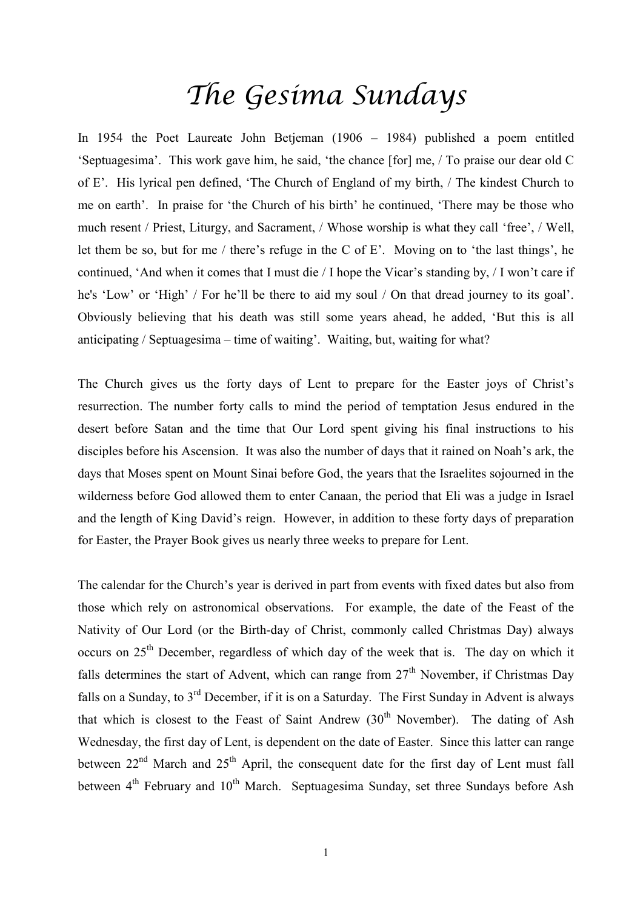## *The Gesima Sundays*

In 1954 the Poet Laureate John Betjeman (1906 – 1984) published a poem entitled 'Septuagesima'. This work gave him, he said, 'the chance [for] me, / To praise our dear old C of E'. His lyrical pen defined, 'The Church of England of my birth, / The kindest Church to me on earth'. In praise for 'the Church of his birth' he continued, 'There may be those who much resent / Priest, Liturgy, and Sacrament, / Whose worship is what they call 'free', / Well, let them be so, but for me / there's refuge in the C of E'. Moving on to 'the last things', he continued, 'And when it comes that I must die / I hope the Vicar's standing by, / I won't care if he's 'Low' or 'High' / For he'll be there to aid my soul / On that dread journey to its goal'. Obviously believing that his death was still some years ahead, he added, 'But this is all anticipating / Septuagesima – time of waiting'. Waiting, but, waiting for what?

The Church gives us the forty days of Lent to prepare for the Easter joys of Christ's resurrection. The number forty calls to mind the period of temptation Jesus endured in the desert before Satan and the time that Our Lord spent giving his final instructions to his disciples before his Ascension. It was also the number of days that it rained on Noah's ark, the days that Moses spent on Mount Sinai before God, the years that the Israelites sojourned in the wilderness before God allowed them to enter Canaan, the period that Eli was a judge in Israel and the length of King David's reign. However, in addition to these forty days of preparation for Easter, the Prayer Book gives us nearly three weeks to prepare for Lent.

The calendar for the Church's year is derived in part from events with fixed dates but also from those which rely on astronomical observations. For example, the date of the Feast of the Nativity of Our Lord (or the Birth-day of Christ, commonly called Christmas Day) always occurs on 25<sup>th</sup> December, regardless of which day of the week that is. The day on which it falls determines the start of Advent, which can range from  $27<sup>th</sup>$  November, if Christmas Day falls on a Sunday, to 3rd December, if it is on a Saturday. The First Sunday in Advent is always that which is closest to the Feast of Saint Andrew  $(30<sup>th</sup>$  November). The dating of Ash Wednesday, the first day of Lent, is dependent on the date of Easter. Since this latter can range between  $22<sup>nd</sup>$  March and  $25<sup>th</sup>$  April, the consequent date for the first day of Lent must fall between 4<sup>th</sup> February and 10<sup>th</sup> March. Septuagesima Sunday, set three Sundays before Ash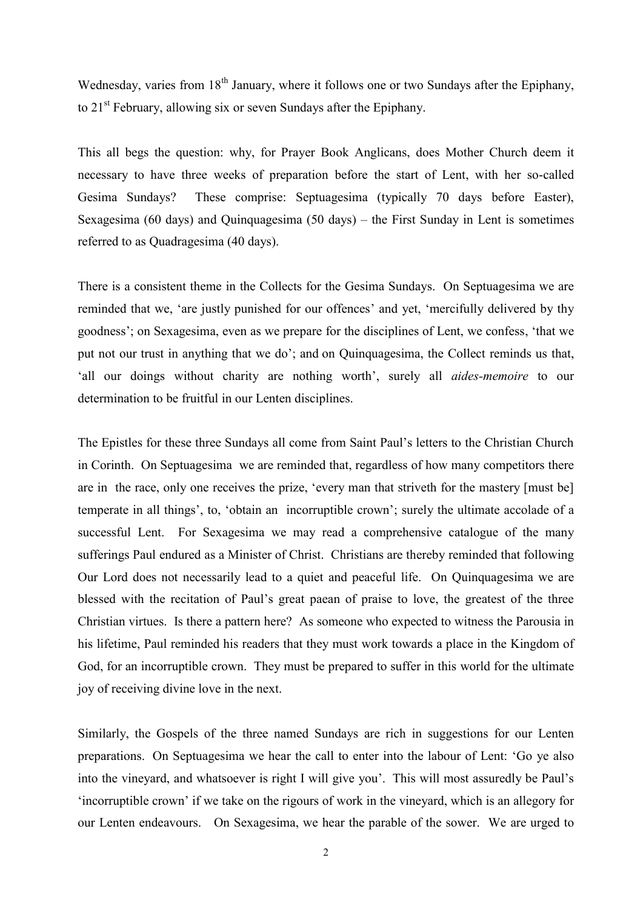Wednesday, varies from  $18<sup>th</sup>$  January, where it follows one or two Sundays after the Epiphany, to 21st February, allowing six or seven Sundays after the Epiphany.

This all begs the question: why, for Prayer Book Anglicans, does Mother Church deem it necessary to have three weeks of preparation before the start of Lent, with her so-called Gesima Sundays? These comprise: Septuagesima (typically 70 days before Easter), Sexagesima (60 days) and Quinquagesima (50 days) – the First Sunday in Lent is sometimes referred to as Quadragesima (40 days).

There is a consistent theme in the Collects for the Gesima Sundays. On Septuagesima we are reminded that we, 'are justly punished for our offences' and yet, 'mercifully delivered by thy goodness'; on Sexagesima, even as we prepare for the disciplines of Lent, we confess, 'that we put not our trust in anything that we do'; and on Quinquagesima, the Collect reminds us that, 'all our doings without charity are nothing worth', surely all *aides-memoire* to our determination to be fruitful in our Lenten disciplines.

The Epistles for these three Sundays all come from Saint Paul's letters to the Christian Church in Corinth. On Septuagesima we are reminded that, regardless of how many competitors there are in the race, only one receives the prize, 'every man that striveth for the mastery [must be] temperate in all things', to, 'obtain an incorruptible crown'; surely the ultimate accolade of a successful Lent. For Sexagesima we may read a comprehensive catalogue of the many sufferings Paul endured as a Minister of Christ. Christians are thereby reminded that following Our Lord does not necessarily lead to a quiet and peaceful life. On Quinquagesima we are blessed with the recitation of Paul's great paean of praise to love, the greatest of the three Christian virtues. Is there a pattern here? As someone who expected to witness the Parousia in his lifetime, Paul reminded his readers that they must work towards a place in the Kingdom of God, for an incorruptible crown. They must be prepared to suffer in this world for the ultimate joy of receiving divine love in the next.

Similarly, the Gospels of the three named Sundays are rich in suggestions for our Lenten preparations. On Septuagesima we hear the call to enter into the labour of Lent: 'Go ye also into the vineyard, and whatsoever is right I will give you'. This will most assuredly be Paul's 'incorruptible crown' if we take on the rigours of work in the vineyard, which is an allegory for our Lenten endeavours. On Sexagesima, we hear the parable of the sower. We are urged to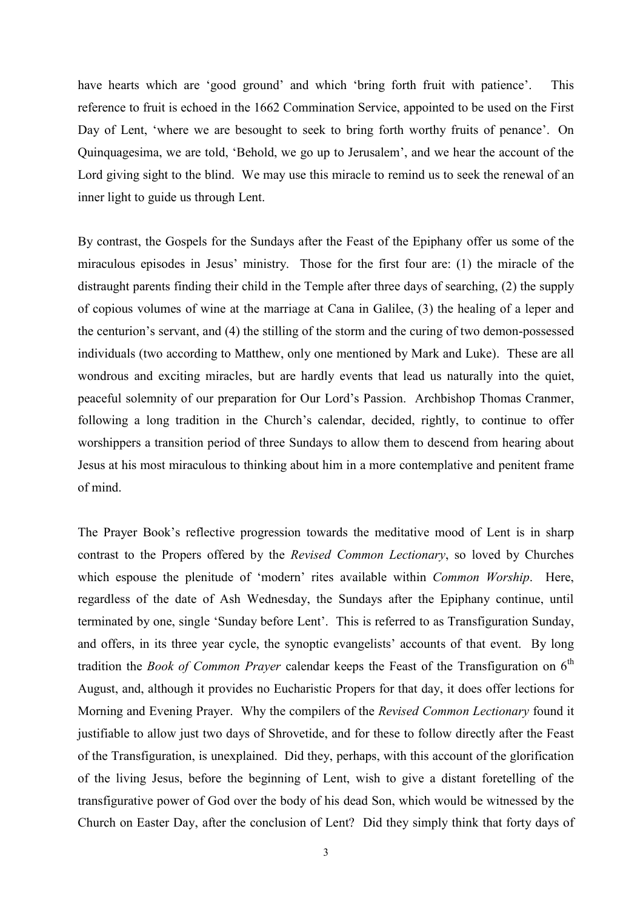have hearts which are 'good ground' and which 'bring forth fruit with patience'. This reference to fruit is echoed in the 1662 Commination Service, appointed to be used on the First Day of Lent, 'where we are besought to seek to bring forth worthy fruits of penance'. On Quinquagesima, we are told, 'Behold, we go up to Jerusalem', and we hear the account of the Lord giving sight to the blind. We may use this miracle to remind us to seek the renewal of an inner light to guide us through Lent.

By contrast, the Gospels for the Sundays after the Feast of the Epiphany offer us some of the miraculous episodes in Jesus' ministry. Those for the first four are: (1) the miracle of the distraught parents finding their child in the Temple after three days of searching, (2) the supply of copious volumes of wine at the marriage at Cana in Galilee, (3) the healing of a leper and the centurion's servant, and (4) the stilling of the storm and the curing of two demon-possessed individuals (two according to Matthew, only one mentioned by Mark and Luke). These are all wondrous and exciting miracles, but are hardly events that lead us naturally into the quiet, peaceful solemnity of our preparation for Our Lord's Passion. Archbishop Thomas Cranmer, following a long tradition in the Church's calendar, decided, rightly, to continue to offer worshippers a transition period of three Sundays to allow them to descend from hearing about Jesus at his most miraculous to thinking about him in a more contemplative and penitent frame of mind.

The Prayer Book's reflective progression towards the meditative mood of Lent is in sharp contrast to the Propers offered by the *Revised Common Lectionary*, so loved by Churches which espouse the plenitude of 'modern' rites available within *Common Worship*. Here, regardless of the date of Ash Wednesday, the Sundays after the Epiphany continue, until terminated by one, single 'Sunday before Lent'. This is referred to as Transfiguration Sunday, and offers, in its three year cycle, the synoptic evangelists' accounts of that event. By long tradition the *Book of Common Prayer* calendar keeps the Feast of the Transfiguration on  $6<sup>th</sup>$ August, and, although it provides no Eucharistic Propers for that day, it does offer lections for Morning and Evening Prayer. Why the compilers of the *Revised Common Lectionary* found it justifiable to allow just two days of Shrovetide, and for these to follow directly after the Feast of the Transfiguration, is unexplained. Did they, perhaps, with this account of the glorification of the living Jesus, before the beginning of Lent, wish to give a distant foretelling of the transfigurative power of God over the body of his dead Son, which would be witnessed by the Church on Easter Day, after the conclusion of Lent? Did they simply think that forty days of